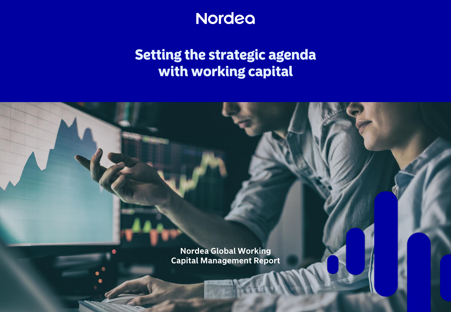

# **Setting the strategic agenda** with working capital

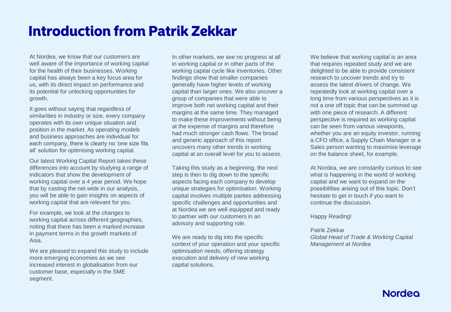# **Introduction from Patrik Zekkar**

At Nordea, we know that our customers are well aware of the importance of working capital for the health of their businesses. Working capital has always been a key focus area for us, with its direct impact on performance and its potential for unlocking opportunities for growth.

It goes without saying that regardless of similarities in industry or size, every company operates with its own unique situation and position in the market. As operating models and business approaches are individual for each company, there is clearly no 'one size fits all' solution for optimising working capital.

Our latest Working Capital Report takes these differences into account by studying a range of indicators that show the development of working capital over a 4 year period. We hope that by casting the net wide in our analysis, you will be able to gain insights on aspects of working capital that are relevant for you.

For example, we look at the changes to working capital across different geographies, noting that there has been a marked increase in payment terms in the growth markets of Asia.

We are pleased to expand this study to include more emerging economies as we see increased interest in globalisation from our customer base, especially in the SME segment.

In other markets, we see no progress at all in working capital or in other parts of the working capital cycle like inventories. Other findings show that smaller companies generally have higher levels of working capital than larger ones. We also uncover a group of companies that were able to improve both net working capital and their margins at the same time. They managed to make these improvements without being at the expense of margins and therefore had much stronger cash flows. The broad and generic approach of this report uncovers many other trends in working capital at an overall level for you to assess.

Taking this study as a beginning, the next step is then to dig down to the specific aspects facing each company to develop unique strategies for optimisation. Working capital involves multiple parties addressing specific challenges and opportunities and at Nordea we are well equipped and ready to partner with our customers in an advisory and supporting role.

We are ready to dig into the specific context of your operation and your specific optimisation needs, offering strategy execution and delivery of new working capital solutions.

We believe that working capital is an area that requires repeated study and we are delighted to be able to provide consistent research to uncover trends and try to assess the latest drivers of change. We repeatedly look at working capital over a long time from various perspectives as it is not a one off topic that can be summed up with one piece of research. A different perspective is required as working capital can be seen from various viewpoints, whether you are an equity investor, running a CFO office, a Supply Chain Manager or a Sales person wanting to maximise leverage on the balance sheet, for example.

At Nordea, we are constantly curious to see what is happening in the world of working capital and we want to expand on the possibilities arising out of this topic. Don't hesitate to get in touch if you want to continue the discussion.

Happy Reading!

Patrik Zekkar *Global Head of Trade & Working Capital Management at Nordea*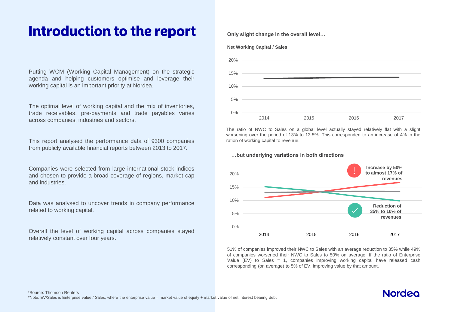## Introduction to the report

Putting WCM (Working Capital Management) on the strategic agenda and helping customers optimise and leverage their working capital is an important priority at Nordea.

The optimal level of working capital and the mix of inventories, trade receivables, pre-payments and trade payables varies across companies, industries and sectors.

This report analysed the performance data of 9300 companies from publicly available financial reports between 2013 to 2017.

Companies were selected from large international stock indices and chosen to provide a broad coverage of regions, market cap and industries.

Data was analysed to uncover trends in company performance related to working capital.

Overall the level of working capital across companies stayed relatively constant over four years.

#### **Only slight change in the overall level…**





The ratio of NWC to Sales on a global level actually stayed relatively flat with a slight worsening over the period of 13% to 13.5%. This corresponded to an increase of 4% in the ration of working capital to revenue.

**…but underlying variations in both directions**



51% of companies improved their NWC to Sales with an average reduction to 35% while 49% of companies worsened their NWC to Sales to 50% on average. If the ratio of Enterprise Value (EV) to Sales = 1, companies improving working capital have released cash corresponding (on average) to 5% of EV, improving value by that amount.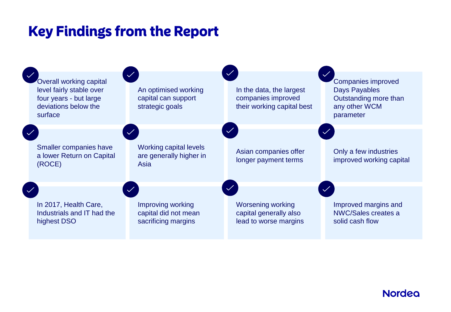# **Key Findings from the Report**

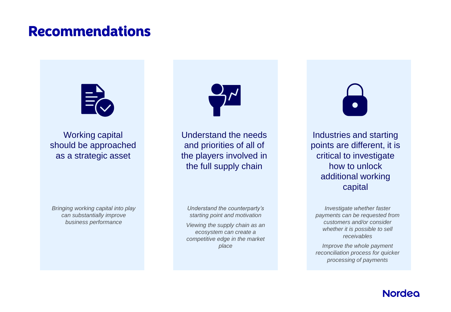## **Recommendations**



Working capital should be approached as a strategic asset

Understand the needs and priorities of all of the players involved in the full supply chain

*Bringing working capital into play can substantially improve business performance*

*Understand the counterparty's starting point and motivation Viewing the supply chain as an* 

*ecosystem can create a competitive edge in the market place*

Industries and starting points are different, it is critical to investigate how to unlock additional working capital

*Investigate whether faster payments can be requested from customers and/or consider whether it is possible to sell receivables*

*Improve the whole payment reconciliation process for quicker processing of payments*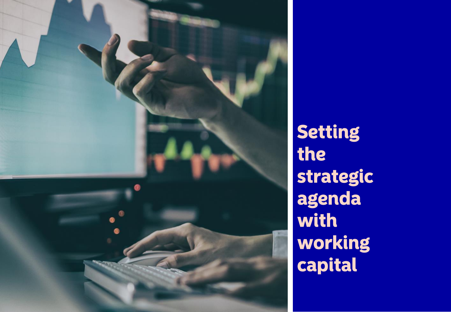

Setting the strategic agenda with working capital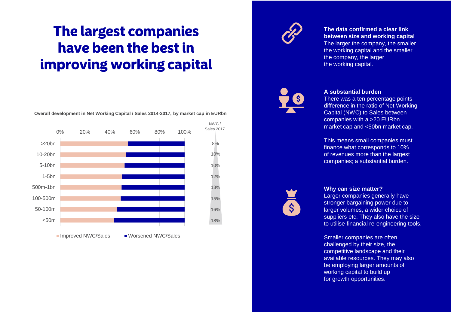# **The largest companies** have been the best in improving working capital

**Overall development in Net Working Capital / Sales 2014-2017, by market cap in EURbn**





### **The data confirmed a clear link between size and working capital**

The larger the company, the smaller the working capital and the smaller the company, the larger the working capital.



### **A substantial burden**

There was a ten percentage points difference in the ratio of Net Working Capital (NWC) to Sales between companies with a >20 EURbn market cap and <50bn market cap.

This means small companies must finance what corresponds to 10% of revenues more than the largest companies; a substantial burden.



### **Why can size matter?**

Larger companies generally have stronger bargaining power due to larger volumes, a wider choice of suppliers etc. They also have the size to utilise financial re-engineering tools.

Smaller companies are often challenged by their size, the competitive landscape and their available resources. They may also be employing larger amounts of working capital to build up for growth opportunities.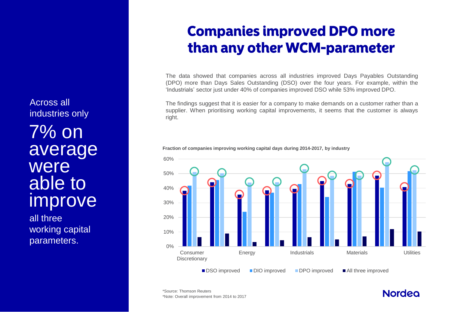7% on average were able to improve Across all industries only

all three working capital parameters.

# **Companies improved DPO more** than any other WCM-parameter

The data showed that companies across all industries improved Days Payables Outstanding (DPO) more than Days Sales Outstanding (DSO) over the four years. For example, within the 'Industrials' sector just under 40% of companies improved DSO while 53% improved DPO.

The findings suggest that it is easier for a company to make demands on a customer rather than a supplier. When prioritising working capital improvements, it seems that the customer is always right.

**Fraction of companies improving working capital days during 2014-2017, by industry**



\*Note: Overall improvement from 2014 to 2017 \*Source: Thomson Reuters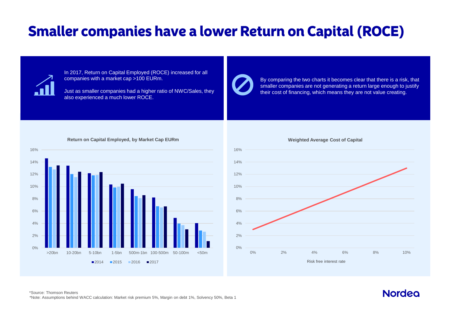# **Smaller companies have a lower Return on Capital (ROCE)**



0%

2%

4%

6%

8%

10%

12%

14%

16%

In 2017, Return on Capital Employed (ROCE) increased for all companies with a market cap >100 EURm.

Just as smaller companies had a higher ratio of NWC/Sales, they also experienced a much lower ROCE.



By comparing the two charts it becomes clear that there is a risk, that smaller companies are not generating a return large enough to justify their cost of financing, which means they are not value creating.





#### \*Note: Assumptions behind WACC calculation: Market risk premium 5%, Margin on debt 1%, Solvency 50%, Beta 1 \*Source: Thomson Reuters

 >20bn 10-20bn 5-10bn 1-5bn 500m-1bn 100-500m 50-100m <50m ■2014 ■2015 ■2016 ■2017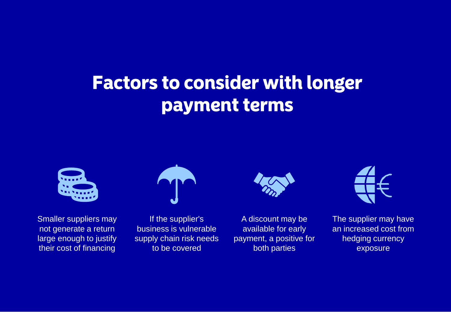# **Factors to consider with longer** payment terms



Smaller suppliers may not generate a return large enough to justify their cost of financing



If the supplier's business is vulnerable supply chain risk needs to be covered



A discount may be available for early payment, a positive for both parties



The supplier may have an increased cost from hedging currency exposure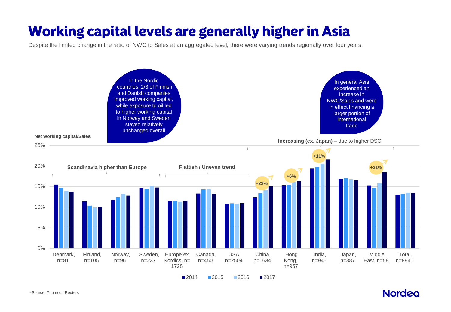# **Working capital levels are generally higher in Asia**

Despite the limited change in the ratio of NWC to Sales at an aggregated level, there were varying trends regionally over four years.

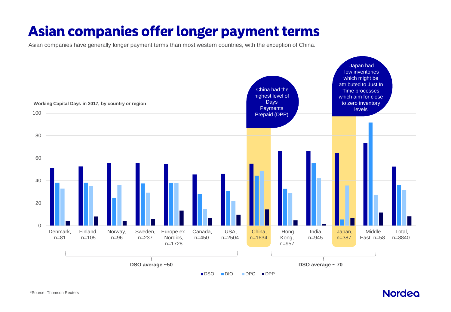# Asian companies offer longer payment terms

Asian companies have generally longer payment terms than most western countries, with the exception of China.

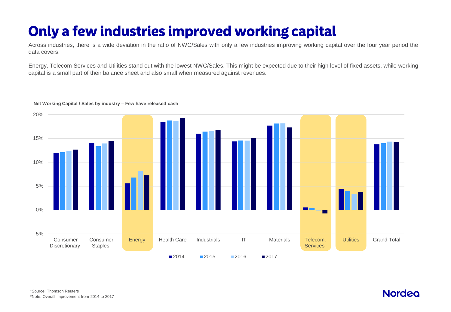# Only a few industries improved working capital

Across industries, there is a wide deviation in the ratio of NWC/Sales with only a few industries improving working capital over the four year period the data covers.

Energy, Telecom Services and Utilities stand out with the lowest NWC/Sales. This might be expected due to their high level of fixed assets, while working capital is a small part of their balance sheet and also small when measured against revenues.

### -5% 0% 5% 10% 15% 20% Consumer **Discretionary**  Consumer Staples Energy Health Care Industrials IT Materials Telecom. **Services** Utilities Grand Total **2014 2015 2016 2017**

### **Net Working Capital / Sales by industry – Few have released cash**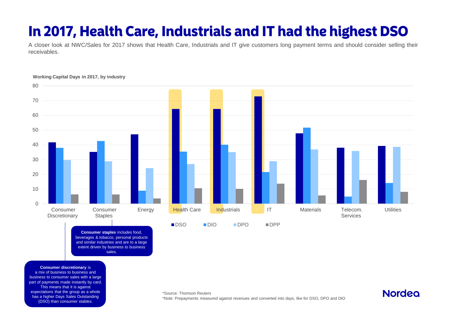# In 2017, Health Care, Industrials and IT had the highest DSO

A closer look at NWC/Sales for 2017 shows that Health Care, Industrials and IT give customers long payment terms and should consider selling their receivables.



**Consumer staples** includes food, beverages & tobacco, personal products and similar industries and are to a large extent driven by business to business sales.

**Consumer discretionary** is a mix of business to business and

business to consumer sales with a large part of payments made instantly by card. This means that it is against expectations that the group as a whole has a higher Days Sales Outstanding (DSO) than consumer stables.

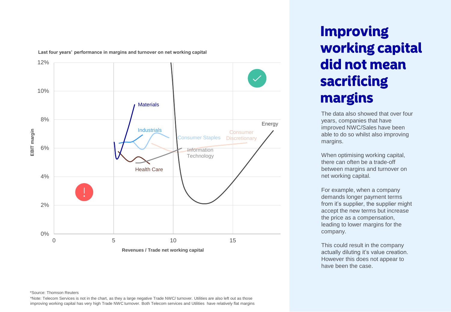**Last four years' performance in margins and turnover on net working capital**



#### \*Source: Thomson Reuters

\*Note: Telecom Services is not in the chart, as they a large negative Trade NWC/ turnover. Utilities are also left out as those improving working capital has very high Trade NWC turnover. Both Telecom services and Utilities have relatively flat margins

# **Improving working capital** did not mean sacrificing margins

The data also showed that over four years, companies that have improved NWC/Sales have been able to do so whilst also improving margins.

When optimising working capital, there can often be a trade-off between margins and turnover on net working capital.

For example, when a company demands longer payment terms from it's supplier, the supplier might accept the new terms but increase the price as a compensation, leading to lower margins for the company.

This could result in the company actually diluting it's value creation. However this does not appear to have been the case.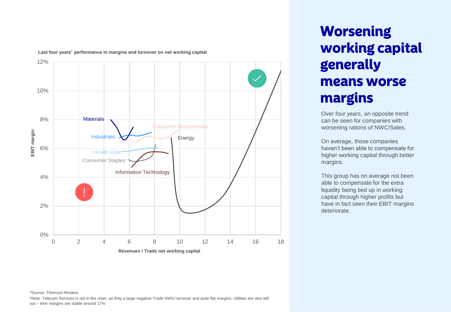

**Last four years' performance in margins and turnover on net working capital**

# **Worsening working capital** generally means worse margins

Over four years, an opposite trend can be seen for companies with worsening rations of NWC/Sales.

On average, those companies haven't been able to compensate for higher working capital through better margins.

This group has on average not been able to compensate for the extra liquidity being tied up in working capital through higher profits but have in fact seen their EBIT margins deteriorate.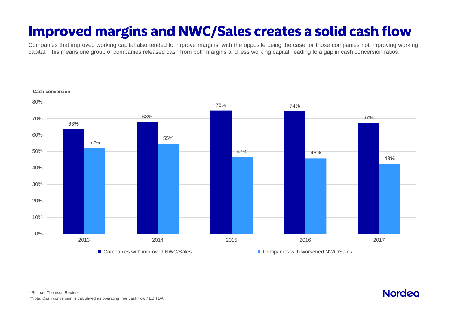# **Improved margins and NWC/Sales creates a solid cash flow**

Companies that improved working capital also tended to improve margins, with the opposite being the case for those companies not improving working capital. This means one group of companies released cash from both margins and less working capital, leading to a gap in cash conversion ratios.

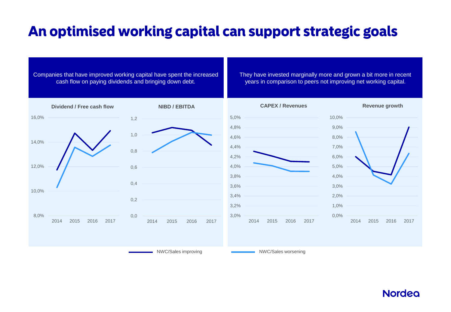# An optimised working capital can support strategic goals

### Companies that have improved working capital have spent the increased cash flow on paying dividends and bringing down debt.

They have invested marginally more and grown a bit more in recent years in comparison to peers not improving net working capital.

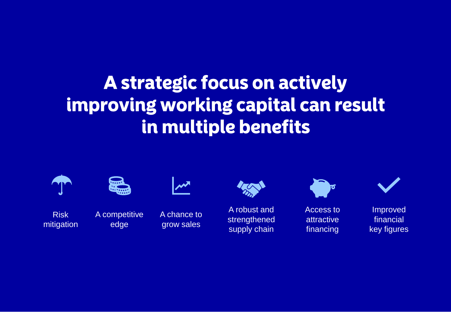# A strategic focus on actively improving working capital can result in multiple benefits



Risk mitigation



A competitive edge



A chance to grow sales



A robust and strengthened supply chain



Access to attractive financing



Improved financial key figures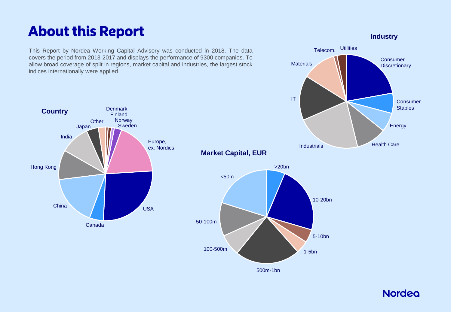# **About this Report**

This Report by Nordea Working Capital Advisory was conducted in 2018. The data covers the period from 2013-2017 and displays the performance of 9300 companies. To allow broad coverage of split in regions, market capital and industries, the largest stock indices internationally were applied.

**Consumer Discretionary** Consumer **Staples** Energy IT **Materials** Telecom. Utilities

Finland **Norway** Japan Sweden Canada China USA Hong Kong India **Other** Europe, ex. Nordics **Country**

**Denmark** 



### **Industry**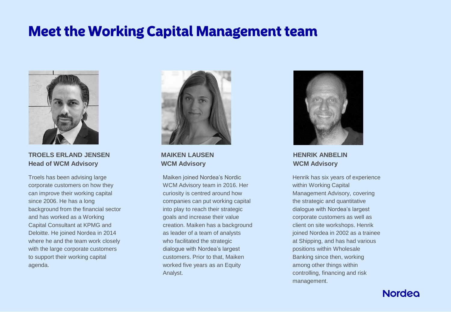## **Meet the Working Capital Management team**



**TROELS ERLAND JENSEN Head of WCM Advisory**

Troels has been advising large corporate customers on how they can improve their working capital since 2006. He has a long background from the financial sector and has worked as a Working Capital Consultant at KPMG and Deloitte. He joined Nordea in 2014 where he and the team work closely with the large corporate customers to support their working capital agenda.



**MAIKEN LAUSEN WCM Advisory**

Maiken joined Nordea's Nordic WCM Advisory team in 2016. Her curiosity is centred around how companies can put working capital into play to reach their strategic goals and increase their value creation. Maiken has a background as leader of a team of analysts who facilitated the strategic dialogue with Nordea's largest customers. Prior to that, Maiken worked five years as an Equity Analyst.



**HENRIK ANBELIN WCM Advisory**

Henrik has six years of experience within Working Capital Management Advisory, covering the strategic and quantitative dialogue with Nordea's largest corporate customers as well as client on site workshops. Henrik joined Nordea in 2002 as a trainee at Shipping, and has had various positions within Wholesale Banking since then, working among other things within controlling, financing and risk management.